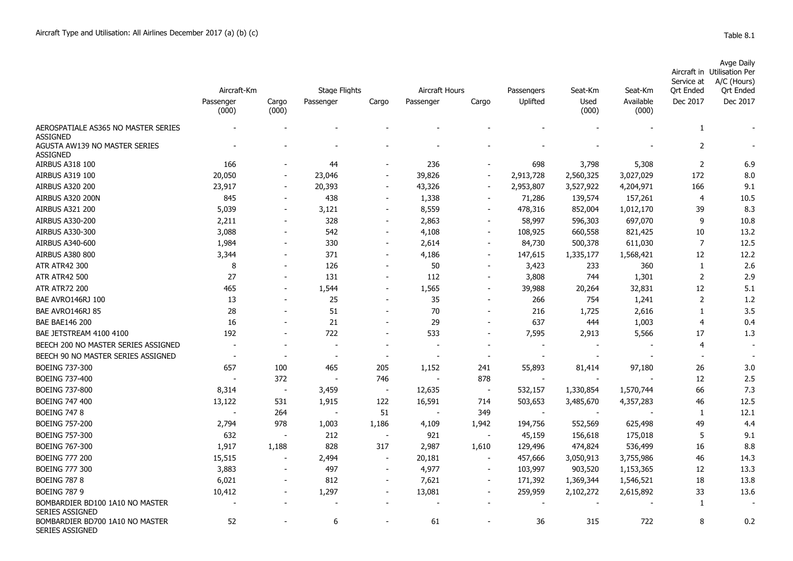|                                                  | Aircraft-Km              |                          | <b>Stage Flights</b>     |                          | <b>Aircraft Hours</b>    |                              | Passengers | Seat-Km       | Seat-Km            | Service at<br>Ort Ended | Avge Daily<br>Aircraft in Utilisation Per<br>A/C (Hours)<br>Ort Ended |
|--------------------------------------------------|--------------------------|--------------------------|--------------------------|--------------------------|--------------------------|------------------------------|------------|---------------|--------------------|-------------------------|-----------------------------------------------------------------------|
|                                                  | Passenger<br>(000)       | Cargo<br>(000)           | Passenger                | Cargo                    | Passenger                | Cargo                        | Uplifted   | Used<br>(000) | Available<br>(000) | Dec 2017                | Dec 2017                                                              |
| AEROSPATIALE AS365 NO MASTER SERIES<br>ASSIGNED  |                          |                          |                          |                          |                          |                              |            |               |                    |                         |                                                                       |
| AGUSTA AW139 NO MASTER SERIES<br><b>ASSIGNED</b> |                          |                          |                          |                          |                          |                              |            |               |                    | $\overline{2}$          |                                                                       |
| <b>AIRBUS A318 100</b>                           | 166                      |                          | 44                       | $\overline{\phantom{a}}$ | 236                      |                              | 698        | 3,798         | 5,308              | $\overline{2}$          | 6.9                                                                   |
| AIRBUS A319 100                                  | 20,050                   | $\sim$                   | 23,046                   | $\overline{\phantom{a}}$ | 39,826                   | $\overline{\phantom{a}}$     | 2,913,728  | 2,560,325     | 3,027,029          | 172                     | 8.0                                                                   |
| <b>AIRBUS A320 200</b>                           | 23,917                   |                          | 20,393                   | $\overline{\phantom{a}}$ | 43,326                   | $\overline{\phantom{a}}$     | 2,953,807  | 3,527,922     | 4,204,971          | 166                     | 9.1                                                                   |
| AIRBUS A320 200N                                 | 845                      |                          | 438                      | $\overline{\phantom{a}}$ | 1,338                    | $\qquad \qquad \blacksquare$ | 71,286     | 139,574       | 157,261            | 4                       | 10.5                                                                  |
| <b>AIRBUS A321 200</b>                           | 5,039                    |                          | 3,121                    | $\overline{\phantom{a}}$ | 8,559                    | $\overline{\phantom{a}}$     | 478,316    | 852,004       | 1,012,170          | 39                      | 8.3                                                                   |
| <b>AIRBUS A330-200</b>                           | 2,211                    |                          | 328                      | $\overline{\phantom{a}}$ | 2,863                    | $\overline{\phantom{a}}$     | 58,997     | 596,303       | 697,070            | 9                       | 10.8                                                                  |
| AIRBUS A330-300                                  | 3,088                    | $\overline{\phantom{a}}$ | 542                      | $\overline{\phantom{a}}$ | 4,108                    | $\overline{\phantom{a}}$     | 108,925    | 660,558       | 821,425            | 10                      | 13.2                                                                  |
| AIRBUS A340-600                                  | 1,984                    |                          | 330                      | $\overline{\phantom{a}}$ | 2,614                    | $\qquad \qquad \blacksquare$ | 84,730     | 500,378       | 611,030            | 7                       | 12.5                                                                  |
| <b>AIRBUS A380 800</b>                           | 3,344                    |                          | 371                      | $\overline{\phantom{a}}$ | 4,186                    | $\overline{\phantom{a}}$     | 147,615    | 1,335,177     | 1,568,421          | 12                      | 12.2                                                                  |
| <b>ATR ATR42 300</b>                             | 8                        |                          | 126                      | $\overline{\phantom{a}}$ | 50                       | $\overline{\phantom{a}}$     | 3,423      | 233           | 360                |                         | 2.6                                                                   |
| <b>ATR ATR42 500</b>                             | 27                       | $\sim$                   | 131                      | $\overline{\phantom{a}}$ | 112                      | $\overline{\phantom{a}}$     | 3,808      | 744           | 1,301              | 2                       | 2.9                                                                   |
| <b>ATR ATR72 200</b>                             | 465                      | $\overline{\phantom{a}}$ | 1,544                    | $\overline{\phantom{a}}$ | 1,565                    | $\overline{\phantom{a}}$     | 39,988     | 20,264        | 32,831             | 12                      | 5.1                                                                   |
| BAE AVRO146RJ 100                                | 13                       |                          | 25                       | $\overline{\phantom{a}}$ | 35                       | $\overline{\phantom{a}}$     | 266        | 754           | 1,241              | $\overline{2}$          | 1.2                                                                   |
| BAE AVRO146RJ 85                                 | 28                       |                          | 51                       | $\overline{\phantom{a}}$ | 70                       | $\overline{\phantom{a}}$     | 216        | 1,725         | 2,616              |                         | 3.5                                                                   |
| <b>BAE BAE146 200</b>                            | 16                       |                          | 21                       | $\overline{\phantom{a}}$ | 29                       | $\overline{\phantom{a}}$     | 637        | 444           | 1,003              | 4                       | 0.4                                                                   |
| BAE JETSTREAM 4100 4100                          | 192                      |                          | 722                      | $\overline{\phantom{a}}$ | 533                      | $\overline{\phantom{a}}$     | 7,595      | 2,913         | 5,566              | 17                      | 1.3                                                                   |
| BEECH 200 NO MASTER SERIES ASSIGNED              | $\overline{\phantom{a}}$ |                          | $\overline{\phantom{a}}$ | $\overline{\phantom{a}}$ | $\overline{\phantom{a}}$ |                              |            |               |                    | 4                       |                                                                       |

| AINDUJ AJZI ZUU                                           | J,uJJ  |        | ہ ے ہر ب |                          | ככנוט  |                              | ט בע, ט | דטט,∠כט   | 1,012,170 | رر            | ບ.ບ  |
|-----------------------------------------------------------|--------|--------|----------|--------------------------|--------|------------------------------|---------|-----------|-----------|---------------|------|
| <b>AIRBUS A330-200</b>                                    | 2,211  |        | 328      |                          | 2,863  | $\qquad \qquad \blacksquare$ | 58,997  | 596,303   | 697,070   | 9             | 10.8 |
| AIRBUS A330-300                                           | 3,088  |        | 542      |                          | 4,108  | $\overline{\phantom{0}}$     | 108,925 | 660,558   | 821,425   | 10            | 13.2 |
| AIRBUS A340-600                                           | 1,984  |        | 330      |                          | 2,614  | -                            | 84,730  | 500,378   | 611,030   | 7             | 12.5 |
| <b>AIRBUS A380 800</b>                                    | 3,344  |        | 371      |                          | 4,186  | $\overline{\phantom{a}}$     | 147,615 | 1,335,177 | 1,568,421 | 12            | 12.2 |
| <b>ATR ATR42 300</b>                                      | 8      |        | 126      |                          | 50     |                              | 3,423   | 233       | 360       |               | 2.6  |
| <b>ATR ATR42 500</b>                                      | 27     |        | 131      |                          | 112    | $\overline{\phantom{a}}$     | 3,808   | 744       | 1,301     | $\mathcal{P}$ | 2.9  |
| <b>ATR ATR72 200</b>                                      | 465    |        | 1,544    |                          | 1,565  | -                            | 39,988  | 20,264    | 32,831    | 12            | 5.1  |
| BAE AVRO146RJ 100                                         | 13     |        | 25       |                          | 35     | ۰                            | 266     | 754       | 1,241     |               | 1.2  |
| BAE AVRO146RJ 85                                          | 28     |        | 51       |                          | 70     |                              | 216     | 1,725     | 2,616     |               | 3.5  |
| <b>BAE BAE146 200</b>                                     | 16     |        | 21       |                          | 29     |                              | 637     | 444       | 1,003     |               | 0.4  |
| BAE JETSTREAM 4100 4100                                   | 192    |        | 722      |                          | 533    | $\overline{\phantom{a}}$     | 7,595   | 2,913     | 5,566     | 17            | 1.3  |
| BEECH 200 NO MASTER SERIES ASSIGNED                       |        |        |          |                          |        |                              |         |           |           |               |      |
| BEECH 90 NO MASTER SERIES ASSIGNED                        |        |        |          |                          |        |                              |         |           |           |               |      |
| <b>BOEING 737-300</b>                                     | 657    | 100    | 465      | 205                      | 1,152  | 241                          | 55,893  | 81,414    | 97,180    | 26            | 3.0  |
| <b>BOEING 737-400</b>                                     |        | 372    |          | 746                      |        | 878                          |         |           |           | 12            | 2.5  |
| <b>BOEING 737-800</b>                                     | 8,314  | $\sim$ | 3,459    |                          | 12,635 | $\overline{\phantom{a}}$     | 532,157 | 1,330,854 | 1,570,744 | 66            | 7.3  |
| <b>BOEING 747 400</b>                                     | 13,122 | 531    | 1,915    | 122                      | 16,591 | 714                          | 503,653 | 3,485,670 | 4,357,283 | 46            | 12.5 |
| <b>BOEING 747 8</b>                                       |        | 264    |          | 51                       |        | 349                          |         |           |           | $\mathbf{1}$  | 12.1 |
| <b>BOEING 757-200</b>                                     | 2,794  | 978    | 1,003    | 1,186                    | 4,109  | 1,942                        | 194,756 | 552,569   | 625,498   | 49            | 4.4  |
| <b>BOEING 757-300</b>                                     | 632    |        | 212      |                          | 921    |                              | 45,159  | 156,618   | 175,018   |               | 9.1  |
| <b>BOEING 767-300</b>                                     | 1,917  | 1,188  | 828      | 317                      | 2,987  | 1,610                        | 129,496 | 474,824   | 536,499   | 16            | 8.8  |
| <b>BOEING 777 200</b>                                     | 15,515 |        | 2,494    |                          | 20,181 |                              | 457,666 | 3,050,913 | 3,755,986 | 46            | 14.3 |
| <b>BOEING 777 300</b>                                     | 3,883  |        | 497      |                          | 4,977  | $\overline{\phantom{a}}$     | 103,997 | 903,520   | 1,153,365 | 12            | 13.3 |
| <b>BOEING 787 8</b>                                       | 6,021  |        | 812      | $\overline{\phantom{a}}$ | 7,621  | $\overline{\phantom{a}}$     | 171,392 | 1,369,344 | 1,546,521 | 18            | 13.8 |
| <b>BOEING 787 9</b>                                       | 10,412 |        | 1,297    |                          | 13,081 | $\overline{\phantom{a}}$     | 259,959 | 2,102,272 | 2,615,892 | 33            | 13.6 |
| BOMBARDIER BD100 1A10 NO MASTER<br><b>SERIES ASSIGNED</b> |        |        |          |                          |        |                              |         |           |           |               |      |
| BOMBARDIER BD700 1A10 NO MASTER<br><b>SERIES ASSIGNED</b> | 52     |        | 6        |                          | 61     |                              | 36      | 315       | 722       | 8             | 0.2  |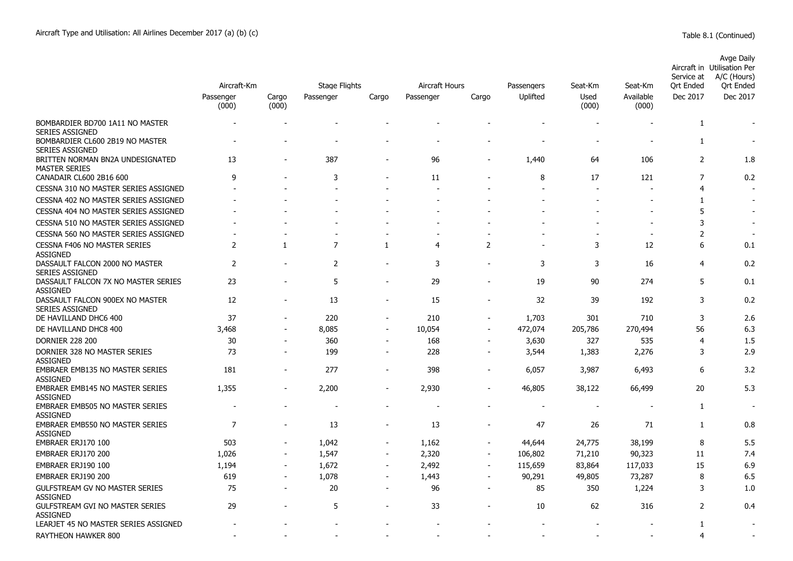|                                                           | Aircraft-Km        | <b>Stage Flights</b>     |                |                          | Aircraft Hours |                          | Passengers | Seat-Km       | Seat-Km                  | Service at<br>Ort Ended | <b>Avge Daily</b><br>Aircraft in Utilisation Per<br>A/C (Hours)<br>Ort Ended |
|-----------------------------------------------------------|--------------------|--------------------------|----------------|--------------------------|----------------|--------------------------|------------|---------------|--------------------------|-------------------------|------------------------------------------------------------------------------|
|                                                           | Passenger<br>(000) | Cargo<br>(000)           | Passenger      | Cargo                    | Passenger      | Cargo                    | Uplifted   | Used<br>(000) | Available<br>(000)       | Dec 2017                | Dec 2017                                                                     |
| BOMBARDIER BD700 1A11 NO MASTER<br><b>SERIES ASSIGNED</b> |                    |                          |                |                          |                |                          |            |               |                          | $\mathbf{1}$            |                                                                              |
| BOMBARDIER CL600 2B19 NO MASTER<br><b>SERIES ASSIGNED</b> |                    |                          |                |                          |                |                          |            |               |                          | 1                       |                                                                              |
| BRITTEN NORMAN BN2A UNDESIGNATED<br><b>MASTER SERIES</b>  | 13                 |                          | 387            | $\blacksquare$           | 96             |                          | 1,440      | 64            | 106                      | $\overline{2}$          | 1.8                                                                          |
| CANADAIR CL600 2B16 600                                   | 9                  |                          | 3              |                          | 11             |                          | 8          | 17            | 121                      | $\overline{7}$          | 0.2                                                                          |
| CESSNA 310 NO MASTER SERIES ASSIGNED                      |                    |                          |                |                          |                |                          |            |               |                          | 4                       |                                                                              |
| CESSNA 402 NO MASTER SERIES ASSIGNED                      |                    |                          |                |                          |                |                          |            |               |                          | 1                       | $\overline{\phantom{a}}$                                                     |
| CESSNA 404 NO MASTER SERIES ASSIGNED                      |                    |                          |                |                          |                |                          |            |               |                          | 5                       |                                                                              |
| CESSNA 510 NO MASTER SERIES ASSIGNED                      |                    |                          |                |                          |                |                          |            |               |                          | 3                       |                                                                              |
| CESSNA 560 NO MASTER SERIES ASSIGNED                      |                    |                          | ÷              | $\overline{a}$           |                |                          |            | $\sim$        | $\overline{\phantom{a}}$ | $\overline{c}$          | $\overline{\phantom{a}}$                                                     |
| CESSNA F406 NO MASTER SERIES<br><b>ASSIGNED</b>           | $\overline{2}$     | -1                       | $\overline{7}$ | 1                        | $\overline{4}$ | $\overline{2}$           |            | 3             | 12                       | 6                       | 0.1                                                                          |
| DASSAULT FALCON 2000 NO MASTER<br><b>SERIES ASSIGNED</b>  | $\mathbf 2$        |                          | $\overline{2}$ | $\blacksquare$           | 3              |                          | 3          | 3             | 16                       | $\overline{4}$          | 0.2                                                                          |
| DASSAULT FALCON 7X NO MASTER SERIES<br><b>ASSIGNED</b>    | 23                 |                          | 5              |                          | 29             |                          | 19         | 90            | 274                      | 5                       | 0.1                                                                          |
| DASSAULT FALCON 900EX NO MASTER<br><b>SERIES ASSIGNED</b> | 12                 |                          | 13             | $\overline{\phantom{a}}$ | 15             | ٠                        | 32         | 39            | 192                      | 3                       | 0.2                                                                          |
| DE HAVILLAND DHC6 400                                     | 37                 | ÷                        | 220            | $\overline{\phantom{a}}$ | 210            | ÷,                       | 1,703      | 301           | 710                      | 3                       | 2.6                                                                          |
| DE HAVILLAND DHC8 400                                     | 3,468              | $\blacksquare$           | 8,085          | $\blacksquare$           | 10,054         | ÷,                       | 472,074    | 205,786       | 270,494                  | 56                      | 6.3                                                                          |
| <b>DORNIER 228 200</b>                                    | 30                 |                          | 360            |                          | 168            |                          | 3,630      | 327           | 535                      | $\overline{4}$          | 1.5                                                                          |
| DORNIER 328 NO MASTER SERIES<br><b>ASSIGNED</b>           | 73                 | $\overline{\phantom{0}}$ | 199            | $\overline{\phantom{a}}$ | 228            | $\overline{\phantom{a}}$ | 3,544      | 1,383         | 2,276                    | 3                       | 2.9                                                                          |
| <b>EMBRAER EMB135 NO MASTER SERIES</b><br><b>ASSIGNED</b> | 181                | $\blacksquare$           | 277            | $\overline{a}$           | 398            | $\blacksquare$           | 6,057      | 3,987         | 6,493                    | 6                       | 3.2                                                                          |
| <b>EMBRAER EMB145 NO MASTER SERIES</b><br><b>ASSIGNED</b> | 1,355              | ۰                        | 2,200          |                          | 2,930          |                          | 46,805     | 38,122        | 66,499                   | 20                      | 5.3                                                                          |
| EMBRAER EMB505 NO MASTER SERIES<br><b>ASSIGNED</b>        |                    |                          |                |                          |                |                          |            |               |                          | $\mathbf{1}$            |                                                                              |
| EMBRAER EMB550 NO MASTER SERIES<br><b>ASSIGNED</b>        | 7                  |                          | 13             |                          | 13             |                          | 47         | 26            | 71                       | 1                       | 0.8                                                                          |
| EMBRAER ERJ170 100                                        | 503                |                          | 1,042          | $\overline{a}$           | 1,162          |                          | 44,644     | 24,775        | 38,199                   | 8                       | 5.5                                                                          |
| EMBRAER ERJ170 200                                        | 1,026              | $\blacksquare$           | 1,547          | $\blacksquare$           | 2,320          | $\overline{a}$           | 106,802    | 71,210        | 90,323                   | 11                      | 7.4                                                                          |
| EMBRAER ERJ190 100                                        | 1,194              | $\blacksquare$           | 1,672          | $\overline{\phantom{a}}$ | 2,492          | $\overline{a}$           | 115,659    | 83,864        | 117,033                  | 15                      | 6.9                                                                          |
| EMBRAER ERJ190 200                                        | 619                |                          | 1,078          | $\overline{a}$           | 1,443          |                          | 90,291     | 49,805        | 73,287                   | 8                       | 6.5                                                                          |
| GULFSTREAM GV NO MASTER SERIES<br><b>ASSIGNED</b>         | 75                 | $\blacksquare$           | 20             | $\overline{\phantom{m}}$ | 96             | $\overline{a}$           | 85         | 350           | 1,224                    | 3                       | 1.0                                                                          |
| <b>GULFSTREAM GVI NO MASTER SERIES</b><br><b>ASSIGNED</b> | 29                 |                          | 5              |                          | 33             |                          | 10         | 62            | 316                      | 2                       | 0.4                                                                          |
| LEARJET 45 NO MASTER SERIES ASSIGNED                      |                    |                          |                |                          |                |                          |            |               |                          | $\mathbf{1}$            | $\blacksquare$                                                               |
| RAYTHEON HAWKER 800                                       |                    |                          |                |                          |                |                          |            |               |                          | 4                       |                                                                              |